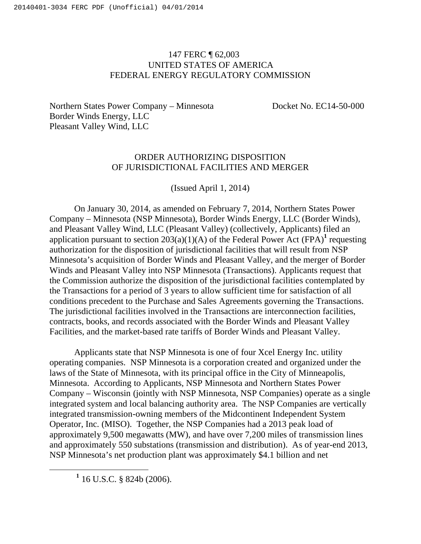## 147 FERC ¶ 62,003 UNITED STATES OF AMERICA FEDERAL ENERGY REGULATORY COMMISSION

Northern States Power Company – Minnesota Docket No. EC14-50-000 Border Winds Energy, LLC Pleasant Valley Wind, LLC

## ORDER AUTHORIZING DISPOSITION OF JURISDICTIONAL FACILITIES AND MERGER

(Issued April 1, 2014)

On January 30, 2014, as amended on February 7, 2014, Northern States Power Company – Minnesota (NSP Minnesota), Border Winds Energy, LLC (Border Winds), and Pleasant Valley Wind, LLC (Pleasant Valley) (collectively, Applicants) filed an application pursuant to section  $203(a)(1)(A)$  of the Federal Power Act (FPA)<sup>1</sup> requesting authorization for the disposition of jurisdictional facilities that will result from NSP Minnesota's acquisition of Border Winds and Pleasant Valley, and the merger of Border Winds and Pleasant Valley into NSP Minnesota (Transactions). Applicants request that the Commission authorize the disposition of the jurisdictional facilities contemplated by the Transactions for a period of 3 years to allow sufficient time for satisfaction of all conditions precedent to the Purchase and Sales Agreements governing the Transactions. The jurisdictional facilities involved in the Transactions are interconnection facilities, contracts, books, and records associated with the Border Winds and Pleasant Valley Facilities, and the market-based rate tariffs of Border Winds and Pleasant Valley.

Applicants state that NSP Minnesota is one of four Xcel Energy Inc. utility operating companies. NSP Minnesota is a corporation created and organized under the laws of the State of Minnesota, with its principal office in the City of Minneapolis, Minnesota. According to Applicants, NSP Minnesota and Northern States Power Company – Wisconsin (jointly with NSP Minnesota, NSP Companies) operate as a single integrated system and local balancing authority area. The NSP Companies are vertically integrated transmission-owning members of the Midcontinent Independent System Operator, Inc. (MISO). Together, the NSP Companies had a 2013 peak load of approximately 9,500 megawatts (MW), and have over 7,200 miles of transmission lines and approximately 550 substations (transmission and distribution). As of year-end 2013, NSP Minnesota's net production plant was approximately \$4.1 billion and net

<u>1</u>  $1$  16 U.S.C. § 824b (2006).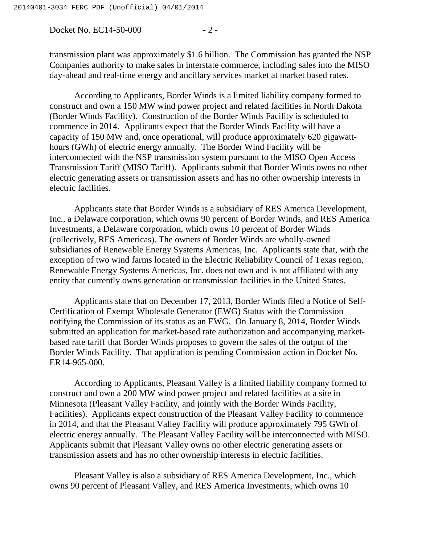Docket No. EC14-50-000 - 2 -

transmission plant was approximately \$1.6 billion. The Commission has granted the NSP Companies authority to make sales in interstate commerce, including sales into the MISO day-ahead and real-time energy and ancillary services market at market based rates.

According to Applicants, Border Winds is a limited liability company formed to construct and own a 150 MW wind power project and related facilities in North Dakota (Border Winds Facility). Construction of the Border Winds Facility is scheduled to commence in 2014. Applicants expect that the Border Winds Facility will have a capacity of 150 MW and, once operational, will produce approximately 620 gigawatthours (GWh) of electric energy annually. The Border Wind Facility will be interconnected with the NSP transmission system pursuant to the MISO Open Access Transmission Tariff (MISO Tariff). Applicants submit that Border Winds owns no other electric generating assets or transmission assets and has no other ownership interests in electric facilities.

Applicants state that Border Winds is a subsidiary of RES America Development, Inc., a Delaware corporation, which owns 90 percent of Border Winds, and RES America Investments, a Delaware corporation, which owns 10 percent of Border Winds (collectively, RES Americas). The owners of Border Winds are wholly-owned subsidiaries of Renewable Energy Systems Americas, Inc. Applicants state that, with the exception of two wind farms located in the Electric Reliability Council of Texas region, Renewable Energy Systems Americas, Inc. does not own and is not affiliated with any entity that currently owns generation or transmission facilities in the United States.

Applicants state that on December 17, 2013, Border Winds filed a Notice of Self-Certification of Exempt Wholesale Generator (EWG) Status with the Commission notifying the Commission of its status as an EWG. On January 8, 2014, Border Winds submitted an application for market-based rate authorization and accompanying marketbased rate tariff that Border Winds proposes to govern the sales of the output of the Border Winds Facility. That application is pending Commission action in Docket No. ER14-965-000.

According to Applicants, Pleasant Valley is a limited liability company formed to construct and own a 200 MW wind power project and related facilities at a site in Minnesota (Pleasant Valley Facility, and jointly with the Border Winds Facility, Facilities). Applicants expect construction of the Pleasant Valley Facility to commence in 2014, and that the Pleasant Valley Facility will produce approximately 795 GWh of electric energy annually. The Pleasant Valley Facility will be interconnected with MISO. Applicants submit that Pleasant Valley owns no other electric generating assets or transmission assets and has no other ownership interests in electric facilities.

Pleasant Valley is also a subsidiary of RES America Development, Inc., which owns 90 percent of Pleasant Valley, and RES America Investments, which owns 10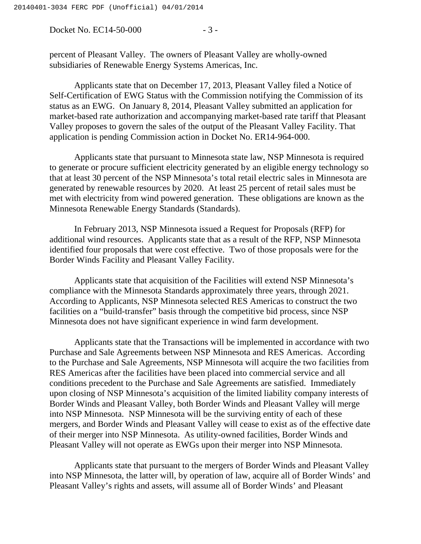Docket No. EC14-50-000 - 3 -

percent of Pleasant Valley. The owners of Pleasant Valley are wholly-owned subsidiaries of Renewable Energy Systems Americas, Inc.

Applicants state that on December 17, 2013, Pleasant Valley filed a Notice of Self-Certification of EWG Status with the Commission notifying the Commission of its status as an EWG. On January 8, 2014, Pleasant Valley submitted an application for market-based rate authorization and accompanying market-based rate tariff that Pleasant Valley proposes to govern the sales of the output of the Pleasant Valley Facility. That application is pending Commission action in Docket No. ER14-964-000.

Applicants state that pursuant to Minnesota state law, NSP Minnesota is required to generate or procure sufficient electricity generated by an eligible energy technology so that at least 30 percent of the NSP Minnesota's total retail electric sales in Minnesota are generated by renewable resources by 2020. At least 25 percent of retail sales must be met with electricity from wind powered generation. These obligations are known as the Minnesota Renewable Energy Standards (Standards).

In February 2013, NSP Minnesota issued a Request for Proposals (RFP) for additional wind resources. Applicants state that as a result of the RFP, NSP Minnesota identified four proposals that were cost effective. Two of those proposals were for the Border Winds Facility and Pleasant Valley Facility.

Applicants state that acquisition of the Facilities will extend NSP Minnesota's compliance with the Minnesota Standards approximately three years, through 2021. According to Applicants, NSP Minnesota selected RES Americas to construct the two facilities on a "build-transfer" basis through the competitive bid process, since NSP Minnesota does not have significant experience in wind farm development.

Applicants state that the Transactions will be implemented in accordance with two Purchase and Sale Agreements between NSP Minnesota and RES Americas. According to the Purchase and Sale Agreements, NSP Minnesota will acquire the two facilities from RES Americas after the facilities have been placed into commercial service and all conditions precedent to the Purchase and Sale Agreements are satisfied. Immediately upon closing of NSP Minnesota's acquisition of the limited liability company interests of Border Winds and Pleasant Valley, both Border Winds and Pleasant Valley will merge into NSP Minnesota. NSP Minnesota will be the surviving entity of each of these mergers, and Border Winds and Pleasant Valley will cease to exist as of the effective date of their merger into NSP Minnesota. As utility-owned facilities, Border Winds and Pleasant Valley will not operate as EWGs upon their merger into NSP Minnesota.

Applicants state that pursuant to the mergers of Border Winds and Pleasant Valley into NSP Minnesota, the latter will, by operation of law, acquire all of Border Winds' and Pleasant Valley's rights and assets, will assume all of Border Winds' and Pleasant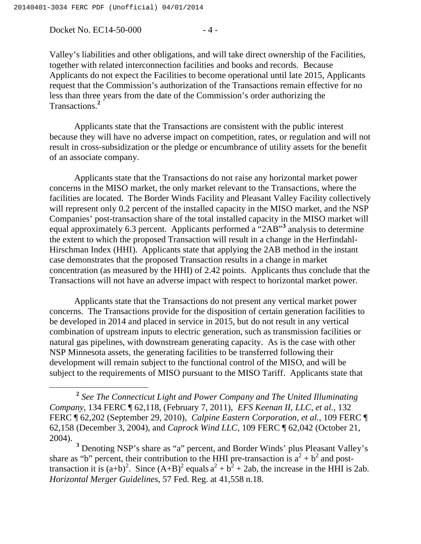Docket No. EC14-50-000 - 4 -

Valley's liabilities and other obligations, and will take direct ownership of the Facilities, together with related interconnection facilities and books and records. Because Applicants do not expect the Facilities to become operational until late 2015, Applicants request that the Commission's authorization of the Transactions remain effective for no less than three years from the date of the Commission's order authorizing the Transactions.**<sup>2</sup>**

Applicants state that the Transactions are consistent with the public interest because they will have no adverse impact on competition, rates, or regulation and will not result in cross-subsidization or the pledge or encumbrance of utility assets for the benefit of an associate company.

Applicants state that the Transactions do not raise any horizontal market power concerns in the MISO market, the only market relevant to the Transactions, where the facilities are located. The Border Winds Facility and Pleasant Valley Facility collectively will represent only 0.2 percent of the installed capacity in the MISO market, and the NSP Companies' post-transaction share of the total installed capacity in the MISO market will equal approximately 6.3 percent. Applicants performed a "2AB"<sup>3</sup> analysis to determine the extent to which the proposed Transaction will result in a change in the Herfindahl-Hirschman Index (HHI). Applicants state that applying the 2AB method in the instant case demonstrates that the proposed Transaction results in a change in market concentration (as measured by the HHI) of 2.42 points. Applicants thus conclude that the Transactions will not have an adverse impact with respect to horizontal market power.

Applicants state that the Transactions do not present any vertical market power concerns. The Transactions provide for the disposition of certain generation facilities to be developed in 2014 and placed in service in 2015, but do not result in any vertical combination of upstream inputs to electric generation, such as transmission facilities or natural gas pipelines, with downstream generating capacity. As is the case with other NSP Minnesota assets, the generating facilities to be transferred following their development will remain subject to the functional control of the MISO, and will be subject to the requirements of MISO pursuant to the MISO Tariff. Applicants state that

**<sup>2</sup>** *See The Connecticut Light and Power Company and The United Illuminating Company*, 134 FERC ¶ 62,118, (February 7, 2011), *EFS Keenan II, LLC, et al.*, 132 FERC ¶ 62,202 (September 29, 2010), *Calpine Eastern Corporation*, *et al.*, 109 FERC ¶ 62,158 (December 3, 2004), and *Caprock Wind LLC*, 109 FERC ¶ 62,042 (October 21, 2004).

**<sup>3</sup>** Denoting NSP's share as "a" percent, and Border Winds' plus Pleasant Valley's share as "b" percent, their contribution to the HHI pre-transaction is  $a^2 + b^2$  and posttransaction it is  $(a+b)^2$ . Since  $(A+B)^2$  equals  $a^2 + b^2 + 2ab$ , the increase in the HHI is 2ab. *Horizontal Merger Guidelines,* 57 Fed. Reg. at 41,558 n.18.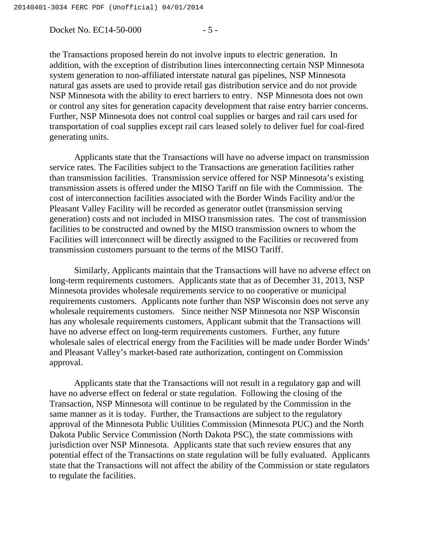Docket No. EC14-50-000 - 5 -

the Transactions proposed herein do not involve inputs to electric generation. In addition, with the exception of distribution lines interconnecting certain NSP Minnesota system generation to non-affiliated interstate natural gas pipelines, NSP Minnesota natural gas assets are used to provide retail gas distribution service and do not provide NSP Minnesota with the ability to erect barriers to entry. NSP Minnesota does not own or control any sites for generation capacity development that raise entry barrier concerns. Further, NSP Minnesota does not control coal supplies or barges and rail cars used for transportation of coal supplies except rail cars leased solely to deliver fuel for coal-fired generating units.

Applicants state that the Transactions will have no adverse impact on transmission service rates. The Facilities subject to the Transactions are generation facilities rather than transmission facilities. Transmission service offered for NSP Minnesota's existing transmission assets is offered under the MISO Tariff on file with the Commission. The cost of interconnection facilities associated with the Border Winds Facility and/or the Pleasant Valley Facility will be recorded as generator outlet (transmission serving generation) costs and not included in MISO transmission rates. The cost of transmission facilities to be constructed and owned by the MISO transmission owners to whom the Facilities will interconnect will be directly assigned to the Facilities or recovered from transmission customers pursuant to the terms of the MISO Tariff.

Similarly, Applicants maintain that the Transactions will have no adverse effect on long-term requirements customers. Applicants state that as of December 31, 2013, NSP Minnesota provides wholesale requirements service to no cooperative or municipal requirements customers. Applicants note further than NSP Wisconsin does not serve any wholesale requirements customers. Since neither NSP Minnesota nor NSP Wisconsin has any wholesale requirements customers, Applicant submit that the Transactions will have no adverse effect on long-term requirements customers. Further, any future wholesale sales of electrical energy from the Facilities will be made under Border Winds' and Pleasant Valley's market-based rate authorization, contingent on Commission approval.

Applicants state that the Transactions will not result in a regulatory gap and will have no adverse effect on federal or state regulation. Following the closing of the Transaction, NSP Minnesota will continue to be regulated by the Commission in the same manner as it is today. Further, the Transactions are subject to the regulatory approval of the Minnesota Public Utilities Commission (Minnesota PUC) and the North Dakota Public Service Commission (North Dakota PSC), the state commissions with jurisdiction over NSP Minnesota. Applicants state that such review ensures that any potential effect of the Transactions on state regulation will be fully evaluated. Applicants state that the Transactions will not affect the ability of the Commission or state regulators to regulate the facilities.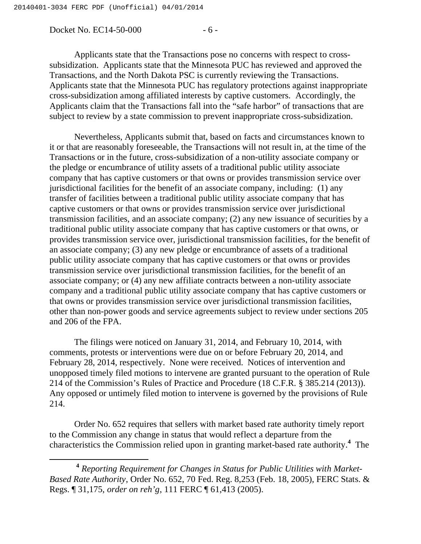Docket No. EC14-50-000 - 6 -

Applicants state that the Transactions pose no concerns with respect to crosssubsidization. Applicants state that the Minnesota PUC has reviewed and approved the Transactions, and the North Dakota PSC is currently reviewing the Transactions. Applicants state that the Minnesota PUC has regulatory protections against inappropriate cross-subsidization among affiliated interests by captive customers. Accordingly, the Applicants claim that the Transactions fall into the "safe harbor" of transactions that are subject to review by a state commission to prevent inappropriate cross-subsidization.

Nevertheless, Applicants submit that, based on facts and circumstances known to it or that are reasonably foreseeable, the Transactions will not result in, at the time of the Transactions or in the future, cross-subsidization of a non-utility associate company or the pledge or encumbrance of utility assets of a traditional public utility associate company that has captive customers or that owns or provides transmission service over jurisdictional facilities for the benefit of an associate company, including: (1) any transfer of facilities between a traditional public utility associate company that has captive customers or that owns or provides transmission service over jurisdictional transmission facilities, and an associate company; (2) any new issuance of securities by a traditional public utility associate company that has captive customers or that owns, or provides transmission service over, jurisdictional transmission facilities, for the benefit of an associate company; (3) any new pledge or encumbrance of assets of a traditional public utility associate company that has captive customers or that owns or provides transmission service over jurisdictional transmission facilities, for the benefit of an associate company; or (4) any new affiliate contracts between a non-utility associate company and a traditional public utility associate company that has captive customers or that owns or provides transmission service over jurisdictional transmission facilities, other than non-power goods and service agreements subject to review under sections 205 and 206 of the FPA.

The filings were noticed on January 31, 2014, and February 10, 2014, with comments, protests or interventions were due on or before February 20, 2014, and February 28, 2014, respectively. None were received. Notices of intervention and unopposed timely filed motions to intervene are granted pursuant to the operation of Rule 214 of the Commission's Rules of Practice and Procedure (18 C.F.R. § 385.214 (2013)). Any opposed or untimely filed motion to intervene is governed by the provisions of Rule 214.

Order No. 652 requires that sellers with market based rate authority timely report to the Commission any change in status that would reflect a departure from the characteristics the Commission relied upon in granting market-based rate authority.**<sup>4</sup>** The

**<sup>4</sup>** *Reporting Requirement for Changes in Status for Public Utilities with Market-Based Rate Authority*, Order No. 652, 70 Fed. Reg. 8,253 (Feb. 18, 2005), FERC Stats. & Regs. ¶ 31,175, *order on reh'g*, 111 FERC ¶ 61,413 (2005).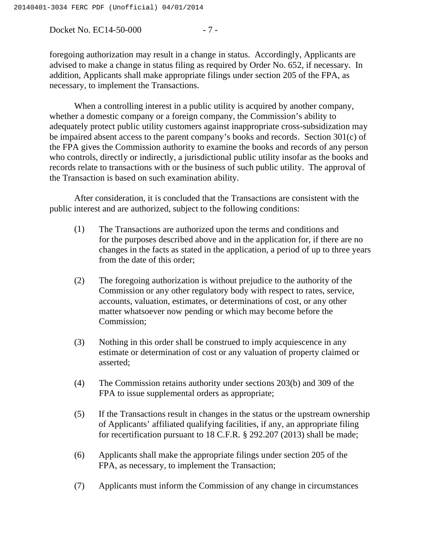Docket No. EC14-50-000 - 7 -

foregoing authorization may result in a change in status. Accordingly, Applicants are advised to make a change in status filing as required by Order No. 652, if necessary. In addition, Applicants shall make appropriate filings under section 205 of the FPA, as necessary, to implement the Transactions.

When a controlling interest in a public utility is acquired by another company, whether a domestic company or a foreign company, the Commission's ability to adequately protect public utility customers against inappropriate cross-subsidization may be impaired absent access to the parent company's books and records. Section 301(c) of the FPA gives the Commission authority to examine the books and records of any person who controls, directly or indirectly, a jurisdictional public utility insofar as the books and records relate to transactions with or the business of such public utility. The approval of the Transaction is based on such examination ability.

After consideration, it is concluded that the Transactions are consistent with the public interest and are authorized, subject to the following conditions:

- (1) The Transactions are authorized upon the terms and conditions and for the purposes described above and in the application for, if there are no changes in the facts as stated in the application, a period of up to three years from the date of this order;
- (2) The foregoing authorization is without prejudice to the authority of the Commission or any other regulatory body with respect to rates, service, accounts, valuation, estimates, or determinations of cost, or any other matter whatsoever now pending or which may become before the Commission;
- (3) Nothing in this order shall be construed to imply acquiescence in any estimate or determination of cost or any valuation of property claimed or asserted;
- (4) The Commission retains authority under sections 203(b) and 309 of the FPA to issue supplemental orders as appropriate;
- (5) If the Transactions result in changes in the status or the upstream ownership of Applicants' affiliated qualifying facilities, if any, an appropriate filing for recertification pursuant to 18 C.F.R. § 292.207 (2013) shall be made;
- (6) Applicants shall make the appropriate filings under section 205 of the FPA, as necessary, to implement the Transaction;
- (7) Applicants must inform the Commission of any change in circumstances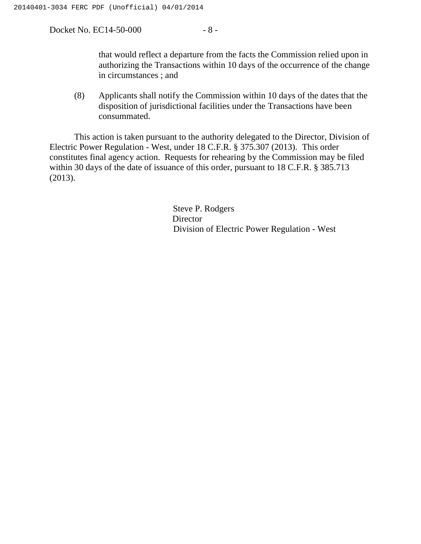Docket No. EC14-50-000 - 8 -

that would reflect a departure from the facts the Commission relied upon in authorizing the Transactions within 10 days of the occurrence of the change in circumstances ; and

(8) Applicants shall notify the Commission within 10 days of the dates that the disposition of jurisdictional facilities under the Transactions have been consummated.

This action is taken pursuant to the authority delegated to the Director, Division of Electric Power Regulation - West, under 18 C.F.R. § 375.307 (2013). This order constitutes final agency action. Requests for rehearing by the Commission may be filed within 30 days of the date of issuance of this order, pursuant to 18 C.F.R. § 385.713 (2013).

> Steve P. Rodgers Director Division of Electric Power Regulation - West